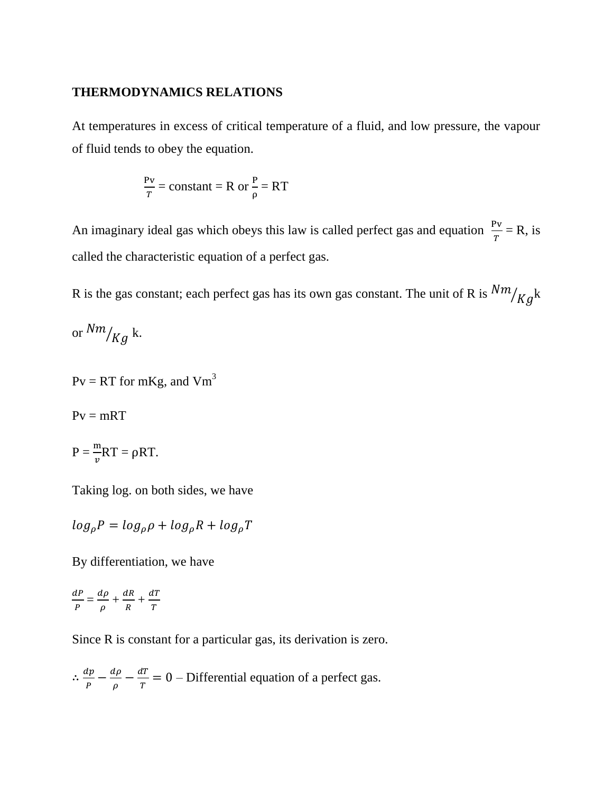### **THERMODYNAMICS RELATIONS**

At temperatures in excess of critical temperature of a fluid, and low pressure, the vapour of fluid tends to obey the equation.

$$
\frac{Pv}{T} = \text{constant} = R \text{ or } \frac{P}{\rho} = RT
$$

An imaginary ideal gas which obeys this law is called perfect gas and equation  $\frac{Fv}{T} = R$ , is called the characteristic equation of a perfect gas.

R is the gas constant; each perfect gas has its own gas constant. The unit of R is  $\frac{N m}{K g}$ k

or  $\binom{Nm}{Kg}$  k.

 $Pv = RT$  for mKg, and  $Vm<sup>3</sup>$ 

 $Pv = mRT$ 

 $P = \frac{m}{v}RT = \rho RT.$ 

Taking log. on both sides, we have

 $\log_{\rho} P = \log_{\rho} \rho + \log_{\rho} R + \log_{\rho} T$ 

By differentiation, we have

 $\boldsymbol{d}$  $\frac{dP}{P} = \frac{d}{\rho}$  $\frac{d\rho}{\rho} + \frac{d}{l}$  $\frac{dR}{R} + \frac{d}{I}$ T

Since R is constant for a particular gas, its derivation is zero.

 $\therefore \frac{d}{\cdot}$  $\frac{dp}{P} - \frac{d}{\rho}$  $\frac{d\rho}{\rho} - \frac{d}{l}$  $\frac{di}{T} = 0$  – Differential equation of a perfect gas.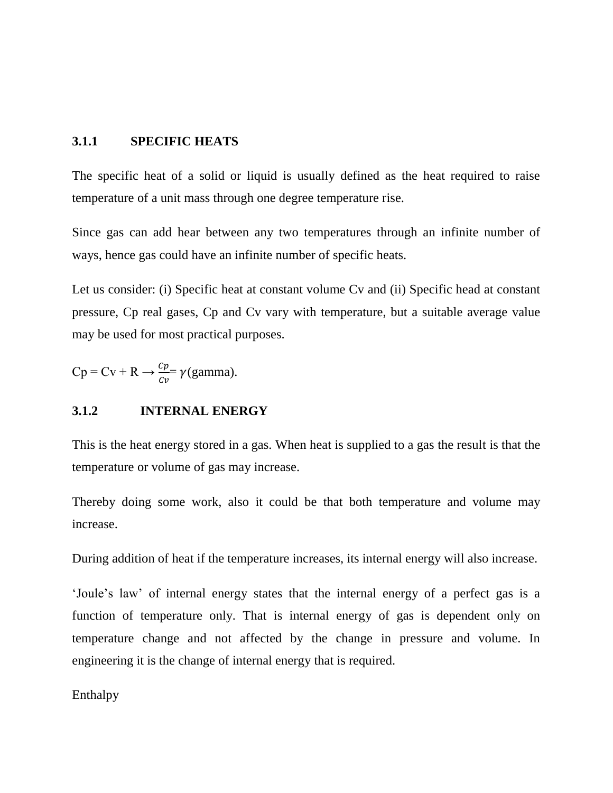### **3.1.1 SPECIFIC HEATS**

The specific heat of a solid or liquid is usually defined as the heat required to raise temperature of a unit mass through one degree temperature rise.

Since gas can add hear between any two temperatures through an infinite number of ways, hence gas could have an infinite number of specific heats.

Let us consider: (i) Specific heat at constant volume Cv and (ii) Specific head at constant pressure, Cp real gases, Cp and Cv vary with temperature, but a suitable average value may be used for most practical purposes.

$$
Cp = Cv + R \rightarrow \frac{cp}{cv} = \gamma(gamma).
$$

### **3.1.2 INTERNAL ENERGY**

This is the heat energy stored in a gas. When heat is supplied to a gas the result is that the temperature or volume of gas may increase.

Thereby doing some work, also it could be that both temperature and volume may increase.

During addition of heat if the temperature increases, its internal energy will also increase.

'Joule's law' of internal energy states that the internal energy of a perfect gas is a function of temperature only. That is internal energy of gas is dependent only on temperature change and not affected by the change in pressure and volume. In engineering it is the change of internal energy that is required.

Enthalpy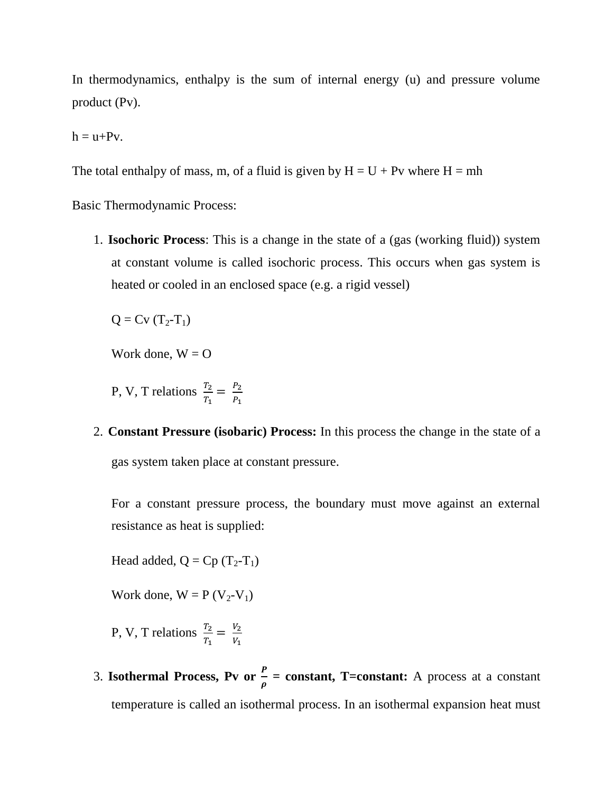In thermodynamics, enthalpy is the sum of internal energy (u) and pressure volume product (Pv).

 $h = u + Pv$ .

The total enthalpy of mass, m, of a fluid is given by  $H = U + Pv$  where  $H = mh$ 

Basic Thermodynamic Process:

1. **Isochoric Process**: This is a change in the state of a (gas (working fluid)) system at constant volume is called isochoric process. This occurs when gas system is heated or cooled in an enclosed space (e.g. a rigid vessel)

 $Q = Cv (T_2 - T_1)$ 

Work done,  $W = O$ 

P, V, T relations  $\frac{T_2}{T_1} = \frac{P_2}{P_1}$  $\overline{P}$ 

2. **Constant Pressure (isobaric) Process:** In this process the change in the state of a gas system taken place at constant pressure.

For a constant pressure process, the boundary must move against an external resistance as heat is supplied:

Head added,  $Q = Cp (T_2-T_1)$ 

Work done,  $W = P (V_2 - V_1)$ 

P, V, T relations  $\frac{T_2}{T_1} = \frac{V_2}{V_1}$ V.

3. **Isothermal Process, Pv or**  $\frac{1}{\rho}$  **= constant, T=constant:** A process at a constant temperature is called an isothermal process. In an isothermal expansion heat must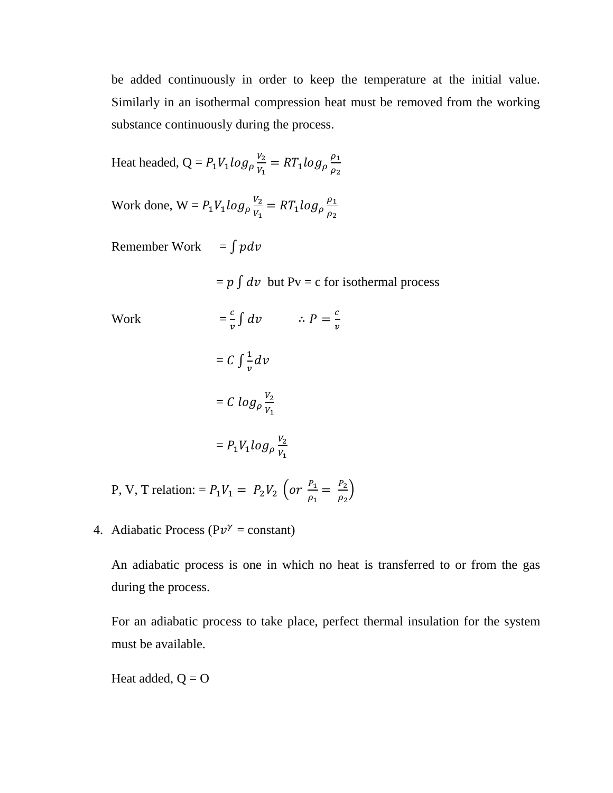be added continuously in order to keep the temperature at the initial value. Similarly in an isothermal compression heat must be removed from the working substance continuously during the process.

Heat headed, 
$$
Q = P_1 V_1 \log_\rho \frac{V_2}{V_1} = RT_1 \log_\rho \frac{\rho_1}{\rho_2}
$$

Work done,  $W = P_1 V_1 \log_{\rho} \frac{V_1}{V_1}$  $\frac{V_2}{V_1} = RT_1 log_\rho \frac{\rho}{\rho}$  $\rho$ 

Remember Work =  $\int pdv$ 

 $= p \int dv$  but Pv = c for isothermal process

Work  $\mathcal{C}_{0}$  $\frac{c}{v} \int dv$  :  $P = \frac{c}{v}$  $\boldsymbol{\mathit{v}}$  $= C \int \frac{1}{\epsilon}$  $\frac{1}{v}d$ 

$$
= C \log_{\rho} \frac{v_2}{v_1}
$$

$$
= P_1 V_1 \log_{\rho} \frac{V_2}{V_1}
$$

P, V, T relation: =  $P_1V_1 = P_2V_2$  (or  $\frac{P_1}{Q_1}$  $\frac{P_1}{\rho_1} = \frac{P_2}{\rho_1}$  $\frac{r_2}{\rho_2}$ 

4. Adiabatic Process ( $Pv^{\gamma}$  = constant)

An adiabatic process is one in which no heat is transferred to or from the gas during the process.

For an adiabatic process to take place, perfect thermal insulation for the system must be available.

Heat added,  $Q = O$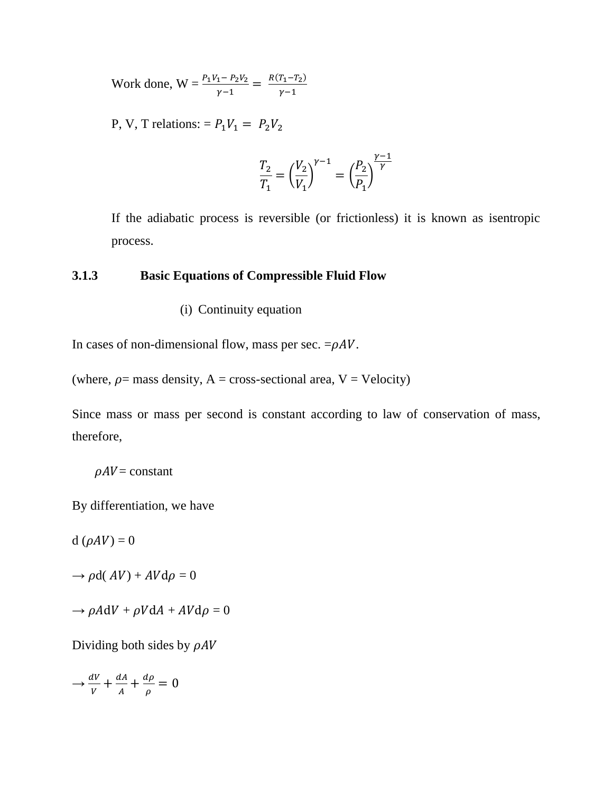Work done,  $W = \frac{P_1 V_1 - P_2 V_2}{\gamma - 1} = \frac{R(T_1 - T_2)}{\gamma - 1}$ γ

P, V, T relations: =  $P_1V_1 = P_2V_2$ 

$$
\frac{T_2}{T_1} = \left(\frac{V_2}{V_1}\right)^{\gamma - 1} = \left(\frac{P_2}{P_1}\right)^{\frac{\gamma - 1}{\gamma}}
$$

If the adiabatic process is reversible (or frictionless) it is known as isentropic process.

## **3.1.3 Basic Equations of Compressible Fluid Flow**

(i) Continuity equation

In cases of non-dimensional flow, mass per sec.  $= \rho A V$ .

(where,  $\rho$  = mass density, A = cross-sectional area, V = Velocity)

Since mass or mass per second is constant according to law of conservation of mass, therefore,

 $\rho A V =$ constant

By differentiation, we have

 $d (\rho A V) = 0$ 

 $\rightarrow \rho d(AV) + AVd\rho = 0$ 

$$
\rightarrow \rho A dV + \rho V dA + AV d\rho = 0
$$

Dividing both sides by  $\rho A V$ 

 $\rightarrow \frac{d}{t}$  $\frac{dV}{V} + \frac{d}{A}$  $rac{dA}{A} + \frac{d}{\mu}$  $\frac{d\rho}{\rho} =$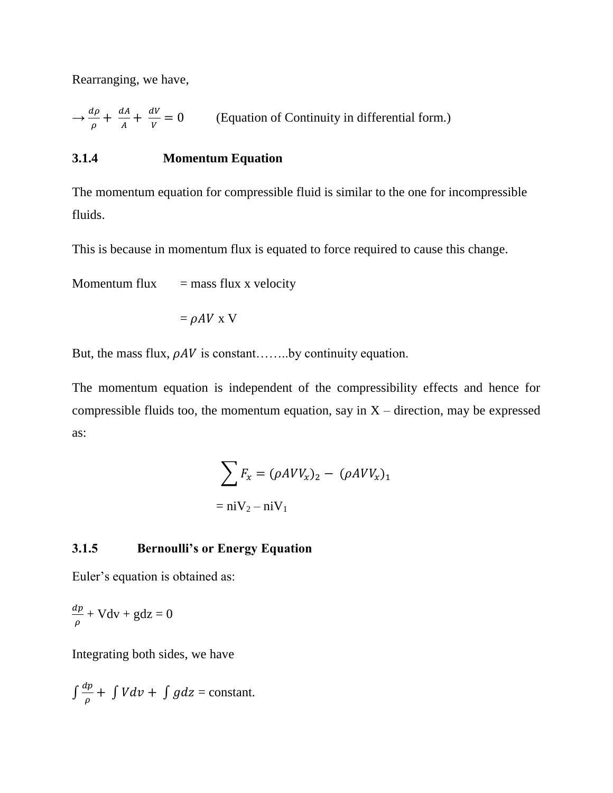Rearranging, we have,

$$
\rightarrow \frac{d\rho}{\rho} + \frac{dA}{A} + \frac{dV}{V} = 0
$$
 (Equation of Continuity in differential form.)

# **3.1.4 Momentum Equation**

The momentum equation for compressible fluid is similar to the one for incompressible fluids.

This is because in momentum flux is equated to force required to cause this change.

Momentum flux  $=$  mass flux x velocity

$$
= \rho A V \times V
$$

But, the mass flux,  $\rho AV$  is constant……..by continuity equation.

The momentum equation is independent of the compressibility effects and hence for compressible fluids too, the momentum equation, say in  $X$  – direction, may be expressed as:

$$
\sum F_x = (\rho AVV_x)_2 - (\rho AVV_x)_1
$$
  
= niV<sub>2</sub> - niV<sub>1</sub>

## **3.1.5 Bernoulli's or Energy Equation**

Euler's equation is obtained as:

$$
\frac{dp}{\rho} + Vdv + gdz = 0
$$

Integrating both sides, we have

$$
\int \frac{dp}{\rho} + \int V dv + \int g dz = \text{constant}.
$$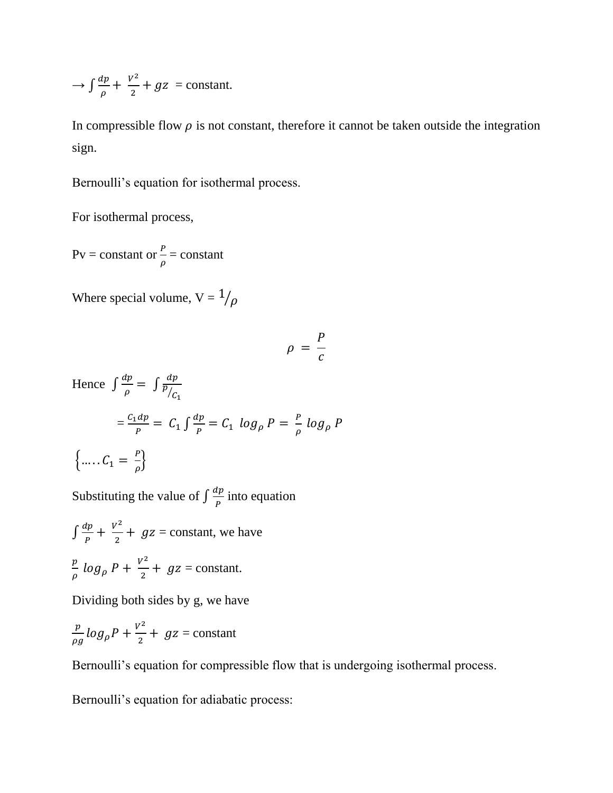$$
\rightarrow \int \frac{dp}{\rho} + \frac{v^2}{2} + gz = \text{constant}.
$$

In compressible flow  $\rho$  is not constant, therefore it cannot be taken outside the integration sign.

Bernoulli's equation for isothermal process.

For isothermal process,

Pv = constant or  $\frac{P}{\rho}$  = constant

Where special volume,  $V = \frac{1}{\rho}$ 

$$
\rho = \frac{P}{c}
$$

Hence  $\int \frac{d}{dx}$  $rac{dp}{\rho} = \int \frac{d}{p}$ p  $/c$  $=\frac{c}{c}$  $\frac{dp}{p} = C_1 \int \frac{d}{l}$  $\frac{dp}{p} = C_1 \log_p P = \frac{P}{\rho}$  $\frac{r}{\rho}$  l  $\left\{\ldots, C_1 = \frac{P}{q}\right\}$  $\frac{r}{\rho}$ 

Substituting the value of  $\int \frac{d}{t}$  $\frac{dp}{p}$  into equation

 $\int \frac{d}{t}$  $\frac{dp}{p} + \frac{V^2}{2}$  $\frac{1}{2}$  +  $gz$  = constant, we have  $\overline{p}$  $\frac{p}{\rho}$  log<sub>p</sub>  $P + \frac{V^2}{2}$  $\frac{1}{2}$  +  $gz$  = constant.

Dividing both sides by g, we have

$$
\frac{p}{\rho g} \log_{\rho} P + \frac{v^2}{2} + g z = \text{constant}
$$

Bernoulli's equation for compressible flow that is undergoing isothermal process.

Bernoulli's equation for adiabatic process: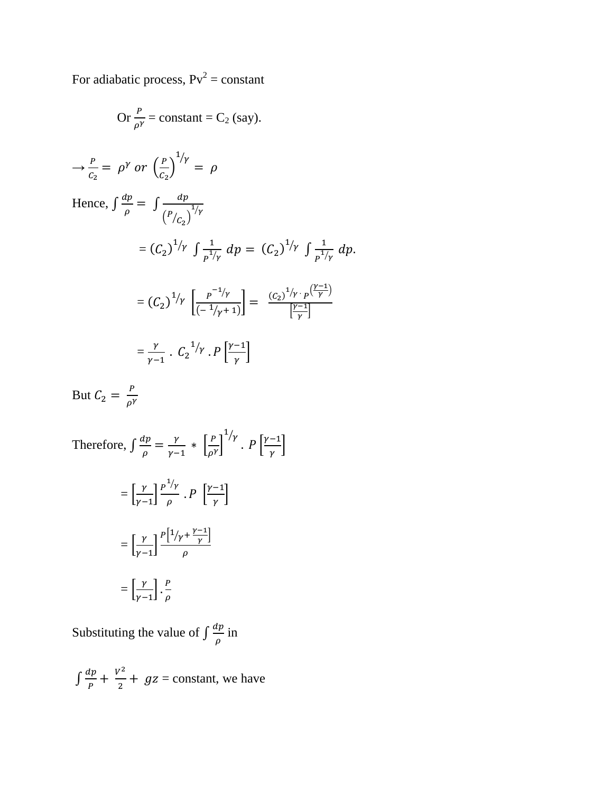For adiabatic process,  $Pv^2 = constant$ 

Or 
$$
\frac{P}{\rho Y}
$$
 = constant = C<sub>2</sub> (say).  
\n $\rightarrow \frac{P}{C_2} = \rho^{\gamma} \text{ or } \left(\frac{P}{C_2}\right)^{1/\gamma} = \rho$   
\nHence,  $\int \frac{dp}{\rho} = \int \frac{dp}{(P/C_2)^{1/\gamma}}$   
\n $= (C_2)^{1/\gamma} \int \frac{1}{P^{1/\gamma}} dp = (C_2)^{1/\gamma} \int \frac{1}{P^{1/\gamma}} dp.$   
\n $= (C_2)^{1/\gamma} \left[\frac{P^{-1/\gamma}}{(-1/\gamma+1)}\right] = \frac{(C_2)^{1/\gamma} \cdot P^{\frac{(\gamma-1)}{\gamma}}}{\left[\frac{\gamma-1}{\gamma}\right]}$   
\n $= \frac{\gamma}{\gamma-1} \cdot C_2^{1/\gamma} \cdot P^{\frac{(\gamma-1)}{\gamma}}$ 

But  $C_2 = \frac{P}{r}$  $\rho$ 

Therefore,  $\int \frac{d}{dx}$  $\frac{dp}{\rho} = \frac{\gamma}{\gamma - \gamma}$  $\frac{\gamma}{\gamma-1} * \left[ \frac{P}{\rho^1} \right]$  $\frac{r}{\rho^{\gamma}}$  $\frac{1}{\gamma}$ .  $P\left[\frac{\gamma}{2}\right]$  $\frac{-1}{\gamma}$  $=\left[\frac{\gamma}{\gamma}\right]$  $\left[\frac{\gamma}{\gamma-1}\right] \frac{p^1/\gamma}{\rho}$  $\frac{\gamma}{\rho}$  .  $P\left[\frac{\gamma}{\rho}\right]$  $\frac{-1}{\gamma}$  $=\left[\frac{\gamma}{\gamma}\right]$  $\left[\frac{\gamma}{\gamma-1}\right] \frac{P\left[\frac{1}{\gamma}+\frac{\gamma}{2}\right]}{\rho}$  $\frac{1}{\gamma}$  $\rho$  $=\left[\frac{\gamma}{\gamma}\right]$  $\left[\frac{\gamma}{\gamma-1}\right].\frac{P}{\rho}$  $\rho$ 

Substituting the value of  $\int \frac{d}{dx}$  $\frac{\mu}{\rho}$  in

 $\int \frac{d}{t}$  $\frac{dp}{p} + \frac{V^2}{2}$  $\frac{1}{2}$  +  $gz$  = constant, we have